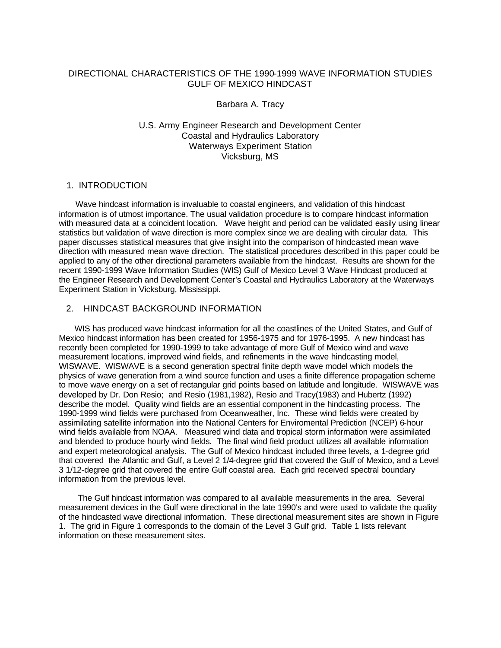# DIRECTIONAL CHARACTERISTICS OF THE 1990-1999 WAVE INFORMATION STUDIES GULF OF MEXICO HINDCAST

### Barbara A. Tracy

# U.S. Army Engineer Research and Development Center Coastal and Hydraulics Laboratory Waterways Experiment Station Vicksburg, MS

### 1. INTRODUCTION

 Wave hindcast information is invaluable to coastal engineers, and validation of this hindcast information is of utmost importance. The usual validation procedure is to compare hindcast information with measured data at a coincident location. Wave height and period can be validated easily using linear statistics but validation of wave direction is more complex since we are dealing with circular data. This paper discusses statistical measures that give insight into the comparison of hindcasted mean wave direction with measured mean wave direction. The statistical procedures described in this paper could be applied to any of the other directional parameters available from the hindcast. Results are shown for the recent 1990-1999 Wave Information Studies (WIS) Gulf of Mexico Level 3 Wave Hindcast produced at the Engineer Research and Development Center's Coastal and Hydraulics Laboratory at the Waterways Experiment Station in Vicksburg, Mississippi.

# 2. HINDCAST BACKGROUND INFORMATION

 WIS has produced wave hindcast information for all the coastlines of the United States, and Gulf of Mexico hindcast information has been created for 1956-1975 and for 1976-1995. A new hindcast has recently been completed for 1990-1999 to take advantage of more Gulf of Mexico wind and wave measurement locations, improved wind fields, and refinements in the wave hindcasting model, WISWAVE. WISWAVE is a second generation spectral finite depth wave model which models the physics of wave generation from a wind source function and uses a finite difference propagation scheme to move wave energy on a set of rectangular grid points based on latitude and longitude. WISWAVE was developed by Dr. Don Resio; and Resio (1981,1982), Resio and Tracy(1983) and Hubertz (1992) describe the model. Quality wind fields are an essential component in the hindcasting process. The 1990-1999 wind fields were purchased from Oceanweather, Inc. These wind fields were created by assimilating satellite information into the National Centers for Enviromental Prediction (NCEP) 6-hour wind fields available from NOAA. Measured wind data and tropical storm information were assimilated and blended to produce hourly wind fields. The final wind field product utilizes all available information and expert meteorological analysis. The Gulf of Mexico hindcast included three levels, a 1-degree grid that covered the Atlantic and Gulf, a Level 2 1/4-degree grid that covered the Gulf of Mexico, and a Level 3 1/12-degree grid that covered the entire Gulf coastal area. Each grid received spectral boundary information from the previous level.

 The Gulf hindcast information was compared to all available measurements in the area. Several measurement devices in the Gulf were directional in the late 1990's and were used to validate the quality of the hindcasted wave directional information. These directional measurement sites are shown in Figure 1. The grid in Figure 1 corresponds to the domain of the Level 3 Gulf grid. Table 1 lists relevant information on these measurement sites.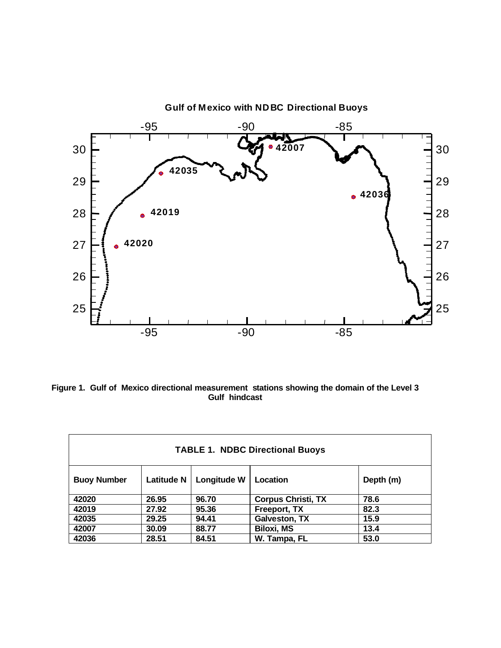

**Figure 1. Gulf of Mexico directional measurement stations showing the domain of the Level 3 Gulf hindcast**

| <b>TABLE 1. NDBC Directional Buoys</b> |                   |             |                           |           |  |  |  |  |  |
|----------------------------------------|-------------------|-------------|---------------------------|-----------|--|--|--|--|--|
| <b>Buoy Number</b>                     | <b>Latitude N</b> | Longitude W | Location                  | Depth (m) |  |  |  |  |  |
| 42020                                  | 26.95             | 96.70       | <b>Corpus Christi, TX</b> | 78.6      |  |  |  |  |  |
| 42019                                  | 27.92             | 95.36       | Freeport, TX              | 82.3      |  |  |  |  |  |
| 42035                                  | 29.25             | 94.41       | <b>Galveston, TX</b>      | 15.9      |  |  |  |  |  |
| 42007                                  | 30.09             | 88.77       | <b>Biloxi, MS</b>         | 13.4      |  |  |  |  |  |
| 42036                                  | 28.51             | 84.51       | W. Tampa, FL              | 53.0      |  |  |  |  |  |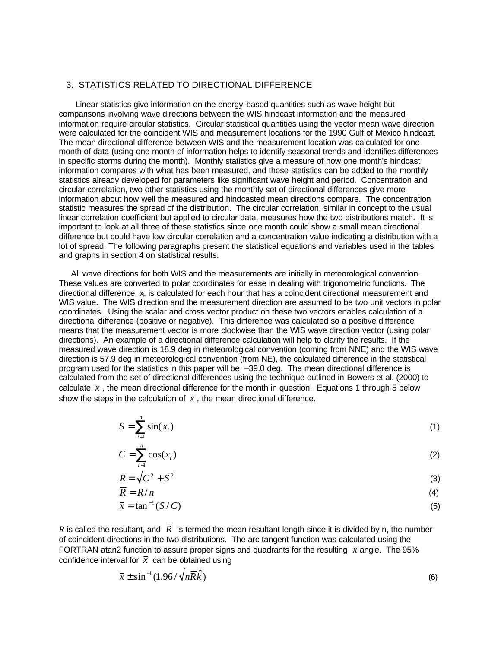## 3. STATISTICS RELATED TO DIRECTIONAL DIFFERENCE

 Linear statistics give information on the energy-based quantities such as wave height but comparisons involving wave directions between the WIS hindcast information and the measured information require circular statistics. Circular statistical quantities using the vector mean wave direction were calculated for the coincident WIS and measurement locations for the 1990 Gulf of Mexico hindcast. The mean directional difference between WIS and the measurement location was calculated for one month of data (using one month of information helps to identify seasonal trends and identifies differences in specific storms during the month). Monthly statistics give a measure of how one month's hindcast information compares with what has been measured, and these statistics can be added to the monthly statistics already developed for parameters like significant wave height and period. Concentration and circular correlation, two other statistics using the monthly set of directional differences give more information about how well the measured and hindcasted mean directions compare. The concentration statistic measures the spread of the distribution. The circular correlation, similar in concept to the usual linear correlation coefficient but applied to circular data, measures how the two distributions match. It is important to look at all three of these statistics since one month could show a small mean directional difference but could have low circular correlation and a concentration value indicating a distribution with a lot of spread. The following paragraphs present the statistical equations and variables used in the tables and graphs in section 4 on statistical results.

 All wave directions for both WIS and the measurements are initially in meteorological convention. These values are converted to polar coordinates for ease in dealing with trigonometric functions. The directional difference, x, is calculated for each hour that has a coincident directional measurement and WIS value. The WIS direction and the measurement direction are assumed to be two unit vectors in polar coordinates. Using the scalar and cross vector product on these two vectors enables calculation of a directional difference (positive or negative). This difference was calculated so a positive difference means that the measurement vector is more clockwise than the WIS wave direction vector (using polar directions). An example of a directional difference calculation will help to clarify the results. If the measured wave direction is 18.9 deg in meteorological convention (coming from NNE) and the WIS wave direction is 57.9 deg in meteorological convention (from NE), the calculated difference in the statistical program used for the statistics in this paper will be –39.0 deg. The mean directional difference is calculated from the set of directional differences using the technique outlined in Bowers et al. (2000) to calculate  $\bar{x}$ , the mean directional difference for the month in question. Equations 1 through 5 below show the steps in the calculation of  $\bar{x}$ , the mean directional difference.

$$
S = \sum_{i=1}^{n} \sin(x_i) \tag{1}
$$

$$
C = \sum_{i=1}^{n} \cos(x_i)
$$
 (2)

$$
R = \sqrt{C^2 + S^2} \tag{3}
$$

$$
\overline{R} = R/n \tag{4}
$$

$$
\bar{x} = \tan^{-1}(S/C) \tag{5}
$$

*R* is called the resultant, and  $\overline{R}$  is termed the mean resultant length since it is divided by n, the number of coincident directions in the two distributions. The arc tangent function was calculated using the FORTRAN atan2 function to assure proper signs and quadrants for the resulting  $\bar{x}$  angle. The 95% confidence interval for  $\bar{x}$  can be obtained using

$$
\bar{x} \pm \sin^{-1}(1.96/\sqrt{n\bar{R}\hat{k}})
$$
 (6)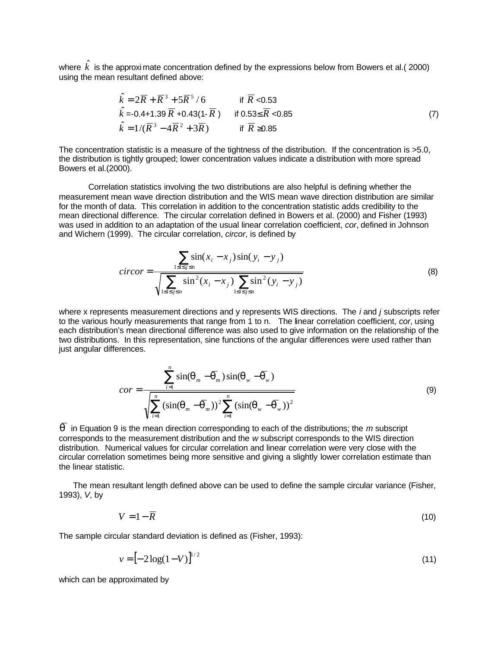where  $\hat{k}$  is the approximate concentration defined by the expressions below from Bowers et al.( 2000) using the mean resultant defined above:

$$
\hat{k} = 2\overline{R} + \overline{R}^{3} + 5\overline{R}^{5}/6 \qquad \text{if } \overline{R} < 0.53
$$
  
\n
$$
\hat{k} = -0.4 + 1.39 \overline{R} + 0.43(1 - \overline{R}) \qquad \text{if } 0.53 \le \overline{R} < 0.85
$$
  
\n
$$
\hat{k} = 1/(\overline{R}^{3} - 4\overline{R}^{2} + 3\overline{R}) \qquad \text{if } \overline{R} \ge 0.85
$$
\n(7)

The concentration statistic is a measure of the tightness of the distribution. If the concentration is >5.0, the distribution is tightly grouped; lower concentration values indicate a distribution with more spread Bowers et al.(2000).

Correlation statistics involving the two distributions are also helpful is defining whether the measurement mean wave direction distribution and the WIS mean wave direction distribution are similar for the month of data. This correlation in addition to the concentration statistic adds credibility to the mean directional difference. The circular correlation defined in Bowers et al. (2000) and Fisher (1993) was used in addition to an adaptation of the usual linear correlation coefficient, *cor*, defined in Johnson and Wichern (1999). The circular correlation, *circor*, is defined by

$$
circor = \frac{\sum_{1 \le i \le j \le n} \sin(x_i - x_j) \sin(y_i - y_j)}{\sqrt{\sum_{1 \le i \le j \le n} \sin^2(x_i - x_j) \sum_{1 \le i \le j \le n} \sin^2(y_i - y_j)}}
$$
(8)

where x represents measurement directions and y represents WIS directions. The *i* and *j* subscripts refer to the various hourly measurements that range from 1 to n. The linear correlation coefficient, *cor*, using each distribution's mean directional difference was also used to give information on the relationship of the two distributions. In this representation, sine functions of the angular differences were used rather than just angular differences.

$$
cor = \frac{\sum_{i=1}^{n} \sin(\boldsymbol{q}_m - \overline{\boldsymbol{q}}_m) \sin(\boldsymbol{q}_w - \overline{\boldsymbol{q}}_w)}{\sqrt{\sum_{i=1}^{n} (\sin(\boldsymbol{q}_m - \overline{\boldsymbol{q}}_m))^2 \sum_{i=1}^{n} (\sin(\boldsymbol{q}_w - \overline{\boldsymbol{q}}_w))^2}}
$$
(9)

*q* in Equation 9 is the mean direction corresponding to each of the distributions; the *m* subscript corresponds to the measurement distribution and the *w* subscript corresponds to the WIS direction distribution. Numerical values for circular correlation and linear correlation were very close with the circular correlation sometimes being more sensitive and giving a slightly lower correlation estimate than the linear statistic.

 The mean resultant length defined above can be used to define the sample circular variance (Fisher, 1993), *V*, by

$$
V = 1 - \overline{R} \tag{10}
$$

The sample circular standard deviation is defined as (Fisher, 1993):

$$
v = \left[-\,2\log(1-V)\right]^{1/2} \tag{11}
$$

which can be approximated by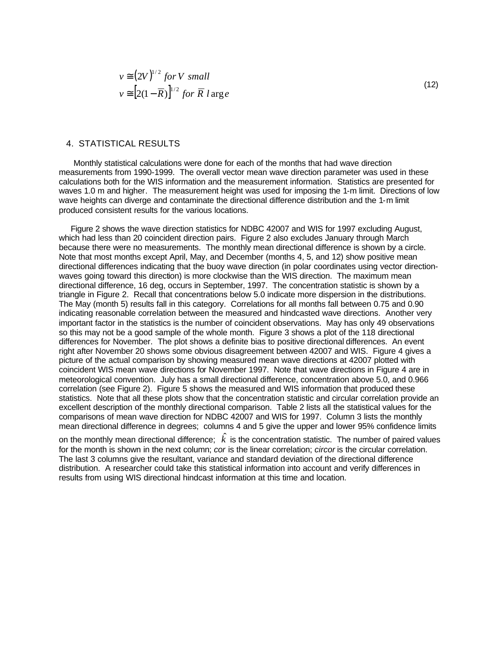$$
v \approx (2V)^{1/2} \text{ for } V \text{ small}
$$
  

$$
v \approx [2(1 - \overline{R})]^{1/2} \text{ for } \overline{R} \text{ large}
$$

## 4. STATISTICAL RESULTS

 Monthly statistical calculations were done for each of the months that had wave direction measurements from 1990-1999. The overall vector mean wave direction parameter was used in these calculations both for the WIS information and the measurement information. Statistics are presented for waves 1.0 m and higher. The measurement height was used for imposing the 1-m limit. Directions of low wave heights can diverge and contaminate the directional difference distribution and the 1-m limit produced consistent results for the various locations.

 Figure 2 shows the wave direction statistics for NDBC 42007 and WIS for 1997 excluding August, which had less than 20 coincident direction pairs. Figure 2 also excludes January through March because there were no measurements. The monthly mean directional difference is shown by a circle. Note that most months except April, May, and December (months 4, 5, and 12) show positive mean directional differences indicating that the buoy wave direction (in polar coordinates using vector directionwaves going toward this direction) is more clockwise than the WIS direction. The maximum mean directional difference, 16 deg, occurs in September, 1997. The concentration statistic is shown by a triangle in Figure 2. Recall that concentrations below 5.0 indicate more dispersion in the distributions. The May (month 5) results fall in this category. Correlations for all months fall between 0.75 and 0.90 indicating reasonable correlation between the measured and hindcasted wave directions. Another very important factor in the statistics is the number of coincident observations. May has only 49 observations so this may not be a good sample of the whole month. Figure 3 shows a plot of the 118 directional differences for November. The plot shows a definite bias to positive directional differences. An event right after November 20 shows some obvious disagreement between 42007 and WIS. Figure 4 gives a picture of the actual comparison by showing measured mean wave directions at 42007 plotted with coincident WIS mean wave directions for November 1997. Note that wave directions in Figure 4 are in meteorological convention. July has a small directional difference, concentration above 5.0, and 0.966 correlation (see Figure 2). Figure 5 shows the measured and WIS information that produced these statistics. Note that all these plots show that the concentration statistic and circular correlation provide an excellent description of the monthly directional comparison. Table 2 lists all the statistical values for the comparisons of mean wave direction for NDBC 42007 and WIS for 1997. Column 3 lists the monthly mean directional difference in degrees; columns 4 and 5 give the upper and lower 95% confidence limits

on the monthly mean directional difference;  $\hat{k}$  is the concentration statistic. The number of paired values for the month is shown in the next column; *cor* is the linear correlation; *circor* is the circular correlation. The last 3 columns give the resultant, variance and standard deviation of the directional difference distribution. A researcher could take this statistical information into account and verify differences in results from using WIS directional hindcast information at this time and location.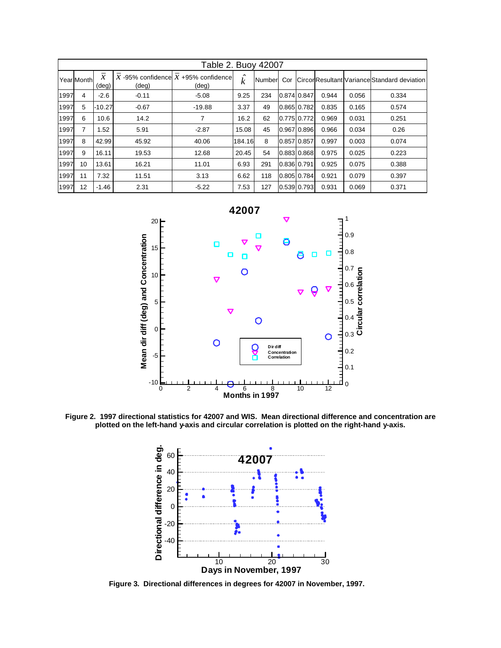| Table 2. Buoy 42007 |            |                                 |         |                                                  |                                  |        |     |               |       |       |                                             |
|---------------------|------------|---------------------------------|---------|--------------------------------------------------|----------------------------------|--------|-----|---------------|-------|-------|---------------------------------------------|
|                     | Year Month | $\mathcal{X}$<br>$(\text{deg})$ | (deg)   | $X$ -95% confidence $X$ +95% confidence<br>(deg) | $\hat{\phantom{a}}$<br>$\dot{k}$ | Number | Cor |               |       |       | CircorResultant Variance Standard deviation |
| 1997                | 4          | $-2.6$                          | $-0.11$ | $-5.08$                                          | 9.25                             | 234    |     | 0.874 0.847   | 0.944 | 0.056 | 0.334                                       |
| 1997                | 5          | $-10.27$                        | $-0.67$ | $-19.88$                                         | 3.37                             | 49     |     | 0.865 0.782   | 0.835 | 0.165 | 0.574                                       |
| 1997                | 6          | 10.6                            | 14.2    | 7                                                | 16.2                             | 62     |     | $0.775$ 0.772 | 0.969 | 0.031 | 0.251                                       |
| 1997                | 7          | 1.52                            | 5.91    | $-2.87$                                          | 15.08                            | 45     |     | 0.96710.896   | 0.966 | 0.034 | 0.26                                        |
| 1997                | 8          | 42.99                           | 45.92   | 40.06                                            | 184.16                           | 8      |     | 0.857 0.857   | 0.997 | 0.003 | 0.074                                       |
| 1997                | 9          | 16.11                           | 19.53   | 12.68                                            | 20.45                            | 54     |     | 0.88310.868   | 0.975 | 0.025 | 0.223                                       |
| 1997                | 10         | 13.61                           | 16.21   | 11.01                                            | 6.93                             | 291    |     | 0.836 0.791   | 0.925 | 0.075 | 0.388                                       |
| 1997                | 11         | 7.32                            | 11.51   | 3.13                                             | 6.62                             | 118    |     | $0.805$ 0.784 | 0.921 | 0.079 | 0.397                                       |
| 1997                | 12         | $-1.46$                         | 2.31    | $-5.22$                                          | 7.53                             | 127    |     | 0.539 0.793   | 0.931 | 0.069 | 0.371                                       |



**Figure 2. 1997 directional statistics for 42007 and WIS. Mean directional difference and concentration are plotted on the left-hand y-axis and circular correlation is plotted on the right-hand y-axis.**



**Figure 3. Directional differences in degrees for 42007 in November, 1997.**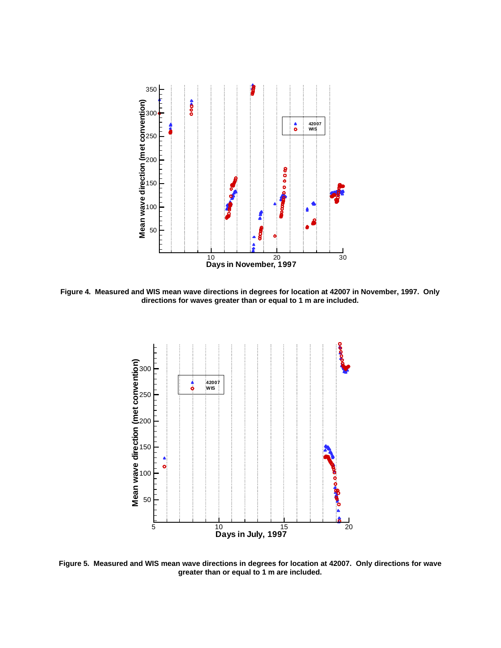

**Figure 4. Measured and WIS mean wave directions in degrees for location at 42007 in November, 1997. Only directions for waves greater than or equal to 1 m are included.**



**Figure 5. Measured and WIS mean wave directions in degrees for location at 42007. Only directions for wave greater than or equal to 1 m are included.**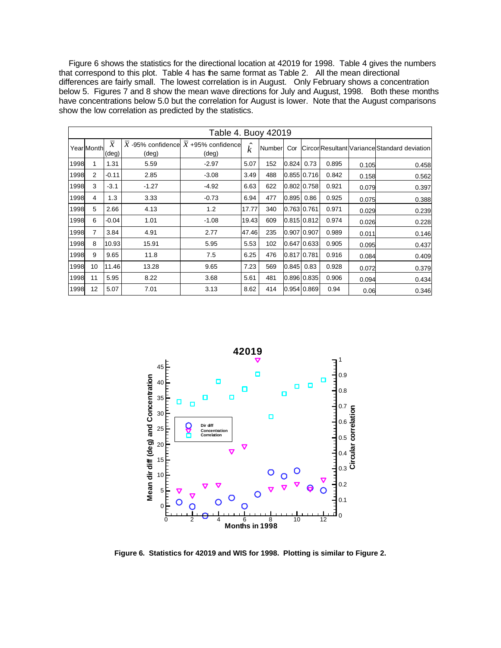Figure 6 shows the statistics for the directional location at 42019 for 1998. Table 4 gives the numbers that correspond to this plot. Table 4 has the same format as Table 2. All the mean directional differences are fairly small. The lowest correlation is in August. Only February shows a concentration below 5. Figures 7 and 8 show the mean wave directions for July and August, 1998. Both these months have concentrations below 5.0 but the correlation for August is lower. Note that the August comparisons show the low correlation as predicted by the statistics.

| Table 4. Buoy 42019 |                  |                        |                |                                                  |                                         |        |              |                 |       |       |                                             |
|---------------------|------------------|------------------------|----------------|--------------------------------------------------|-----------------------------------------|--------|--------------|-----------------|-------|-------|---------------------------------------------|
|                     | Year Month       | $\mathcal{X}$<br>(deg) | $(\text{deg})$ | $X$ -95% confidence $X$ +95% confidence<br>(deg) | $\hat{\phantom{a}}$<br>$\boldsymbol{k}$ | Number | Cor          |                 |       |       | CircorResultant Variance Standard deviation |
| 1998                | 1                | 1.31                   | 5.59           | $-2.97$                                          | 5.07                                    | 152    | $0.824$ 0.73 |                 | 0.895 | 0.105 | 0.458                                       |
| 1998                | 2                | $-0.11$                | 2.85           | $-3.08$                                          | 3.49                                    | 488    |              | $0.855$ $0.716$ | 0.842 | 0.158 | 0.562                                       |
| 1998                | 3                | $-3.1$                 | $-1.27$        | $-4.92$                                          | 6.63                                    | 622    |              | 0.802 0.758     | 0.921 | 0.079 | 0.397                                       |
| 1998                | 4                | 1.3                    | 3.33           | $-0.73$                                          | 6.94                                    | 477    | $0.895$ 0.86 |                 | 0.925 | 0.075 | 0.388                                       |
| 1998                | 5                | 2.66                   | 4.13           | 1.2                                              | 17.77                                   | 340    |              | 0.763 0.761     | 0.971 | 0.029 | 0.239                                       |
| 1998                | 6                | $-0.04$                | 1.01           | $-1.08$                                          | 19.43                                   | 609    |              | 0.815 0.812     | 0.974 | 0.026 | 0.228                                       |
| 1998                | 7                | 3.84                   | 4.91           | 2.77                                             | 47.46                                   | 235    |              | 0.907 0.907     | 0.989 | 0.011 | 0.146                                       |
| 1998                | 8                | 10.93                  | 15.91          | 5.95                                             | 5.53                                    | 102    |              | 0.647 0.633     | 0.905 | 0.095 | 0.437                                       |
| 1998                | 9                | 9.65                   | 11.8           | 7.5                                              | 6.25                                    | 476    |              | 0.817 0.781     | 0.916 | 0.084 | 0.409                                       |
| 1998                | 10 <sup>10</sup> | 11.46                  | 13.28          | 9.65                                             | 7.23                                    | 569    | $0.845$ 0.83 |                 | 0.928 | 0.072 | 0.379                                       |
| 1998                | 11               | 5.95                   | 8.22           | 3.68                                             | 5.61                                    | 481    |              | 0.896 0.835     | 0.906 | 0.094 | 0.434                                       |
| 1998                | 12               | 5.07                   | 7.01           | 3.13                                             | 8.62                                    | 414    |              | $0.954$ $0.869$ | 0.94  | 0.06  | 0.346                                       |



**Figure 6. Statistics for 42019 and WIS for 1998. Plotting is similar to Figure 2.**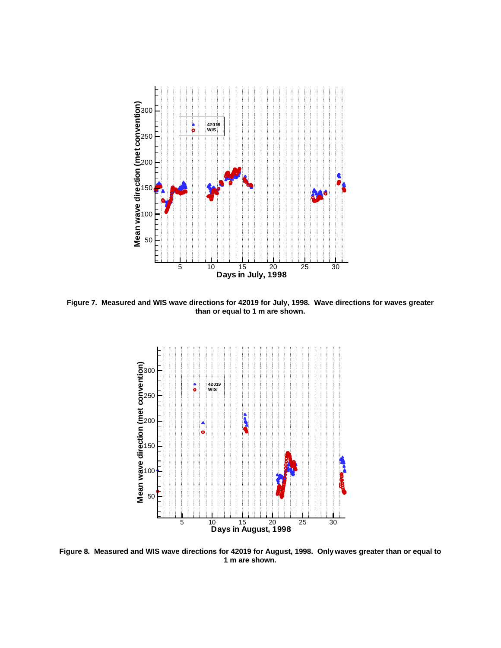

**Figure 7. Measured and WIS wave directions for 42019 for July, 1998. Wave directions for waves greater than or equal to 1 m are shown.**



**Figure 8. Measured and WIS wave directions for 42019 for August, 1998. Only waves greater than or equal to 1 m are shown.**